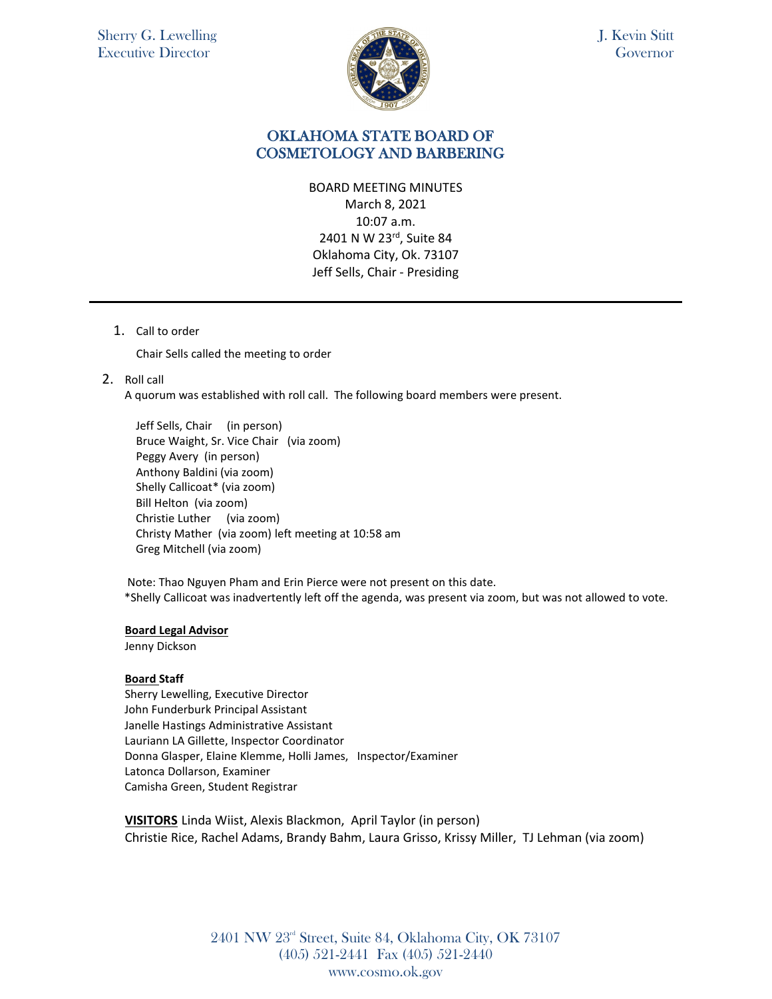

## OKLAHOMA STATE BOARD OF COSMETOLOGY AND BARBERING

BOARD MEETING MINUTES March 8, 2021 10:07 a.m. 2401 N W 23rd, Suite 84 Oklahoma City, Ok. 73107 Jeff Sells, Chair - Presiding

1. Call to order

Chair Sells called the meeting to order

2. Roll call

A quorum was established with roll call. The following board members were present.

Jeff Sells, Chair (in person) Bruce Waight, Sr. Vice Chair (via zoom) Peggy Avery (in person) Anthony Baldini (via zoom) Shelly Callicoat\* (via zoom) Bill Helton (via zoom) Christie Luther (via zoom) Christy Mather (via zoom) left meeting at 10:58 am Greg Mitchell (via zoom)

Note: Thao Nguyen Pham and Erin Pierce were not present on this date. \*Shelly Callicoat was inadvertently left off the agenda, was present via zoom, but was not allowed to vote.

#### **Board Legal Advisor**

Jenny Dickson

#### **Board Staff**

Sherry Lewelling, Executive Director John Funderburk Principal Assistant Janelle Hastings Administrative Assistant Lauriann LA Gillette, Inspector Coordinator Donna Glasper, Elaine Klemme, Holli James, Inspector/Examiner Latonca Dollarson, Examiner Camisha Green, Student Registrar

**VISITORS** Linda Wiist, Alexis Blackmon, April Taylor (in person) Christie Rice, Rachel Adams, Brandy Bahm, Laura Grisso, Krissy Miller, TJ Lehman (via zoom)

> 2401 NW 23rd Street, Suite 84, Oklahoma City, OK 73107 (405) 521-2441 Fax (405) 521-2440 www.cosmo.ok.gov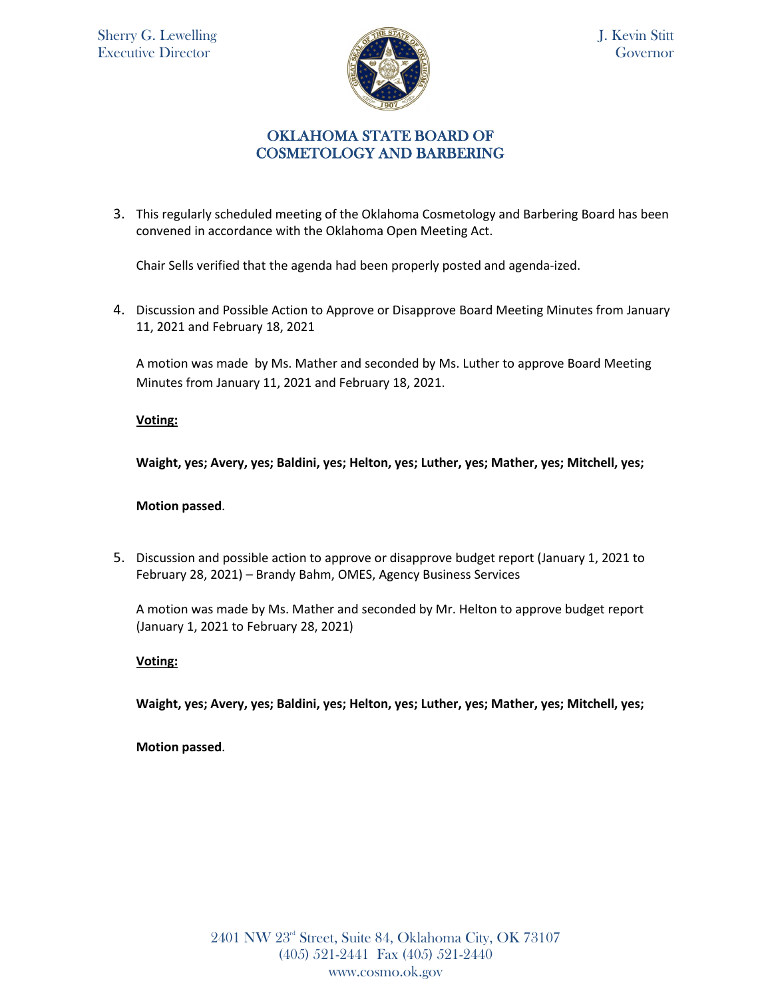

# OKLAHOMA STATE BOARD OF COSMETOLOGY AND BARBERING

3. This regularly scheduled meeting of the Oklahoma Cosmetology and Barbering Board has been convened in accordance with the Oklahoma Open Meeting Act.

Chair Sells verified that the agenda had been properly posted and agenda-ized.

4. Discussion and Possible Action to Approve or Disapprove Board Meeting Minutes from January 11, 2021 and February 18, 2021

A motion was made by Ms. Mather and seconded by Ms. Luther to approve Board Meeting Minutes from January 11, 2021 and February 18, 2021.

## **Voting:**

**Waight, yes; Avery, yes; Baldini, yes; Helton, yes; Luther, yes; Mather, yes; Mitchell, yes;** 

### **Motion passed**.

5. Discussion and possible action to approve or disapprove budget report (January 1, 2021 to February 28, 2021) – Brandy Bahm, OMES, Agency Business Services

A motion was made by Ms. Mather and seconded by Mr. Helton to approve budget report (January 1, 2021 to February 28, 2021)

### **Voting:**

**Waight, yes; Avery, yes; Baldini, yes; Helton, yes; Luther, yes; Mather, yes; Mitchell, yes;** 

**Motion passed**.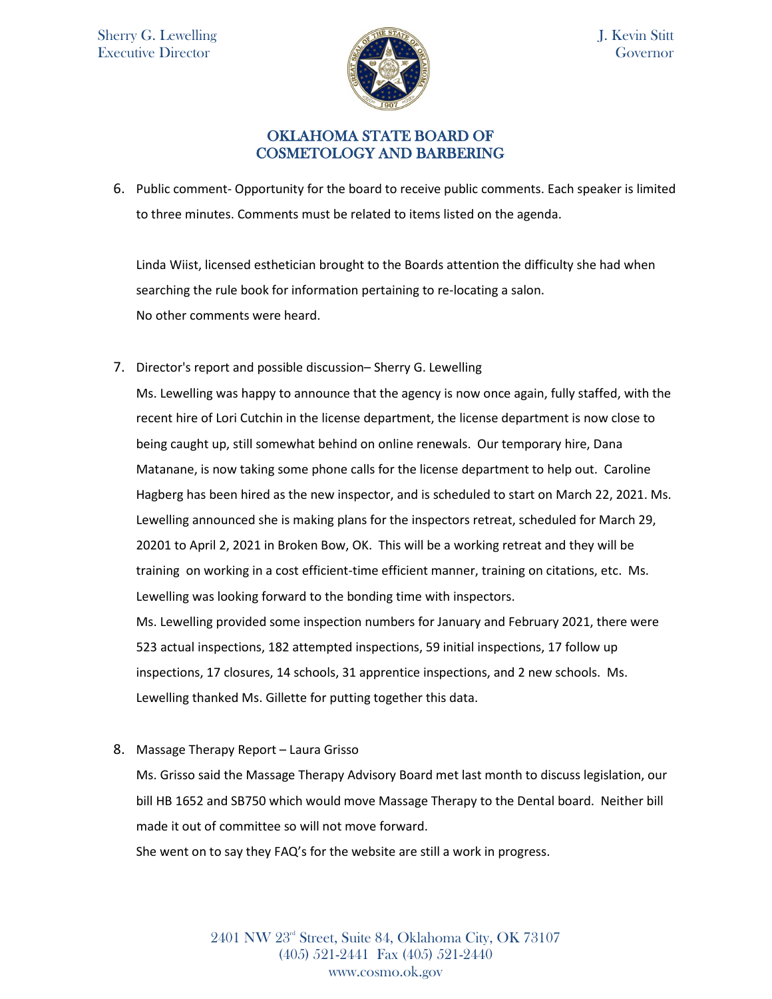

# OKLAHOMA STATE BOARD OF COSMETOLOGY AND BARBERING

6. Public comment- Opportunity for the board to receive public comments. Each speaker is limited to three minutes. Comments must be related to items listed on the agenda.

Linda Wiist, licensed esthetician brought to the Boards attention the difficulty she had when searching the rule book for information pertaining to re-locating a salon. No other comments were heard.

7. Director's report and possible discussion– Sherry G. Lewelling

Ms. Lewelling was happy to announce that the agency is now once again, fully staffed, with the recent hire of Lori Cutchin in the license department, the license department is now close to being caught up, still somewhat behind on online renewals. Our temporary hire, Dana Matanane, is now taking some phone calls for the license department to help out. Caroline Hagberg has been hired as the new inspector, and is scheduled to start on March 22, 2021. Ms. Lewelling announced she is making plans for the inspectors retreat, scheduled for March 29, 20201 to April 2, 2021 in Broken Bow, OK. This will be a working retreat and they will be training on working in a cost efficient-time efficient manner, training on citations, etc. Ms. Lewelling was looking forward to the bonding time with inspectors. Ms. Lewelling provided some inspection numbers for January and February 2021, there were 523 actual inspections, 182 attempted inspections, 59 initial inspections, 17 follow up inspections, 17 closures, 14 schools, 31 apprentice inspections, and 2 new schools. Ms. Lewelling thanked Ms. Gillette for putting together this data.

8. Massage Therapy Report – Laura Grisso

Ms. Grisso said the Massage Therapy Advisory Board met last month to discuss legislation, our bill HB 1652 and SB750 which would move Massage Therapy to the Dental board. Neither bill made it out of committee so will not move forward.

She went on to say they FAQ's for the website are still a work in progress.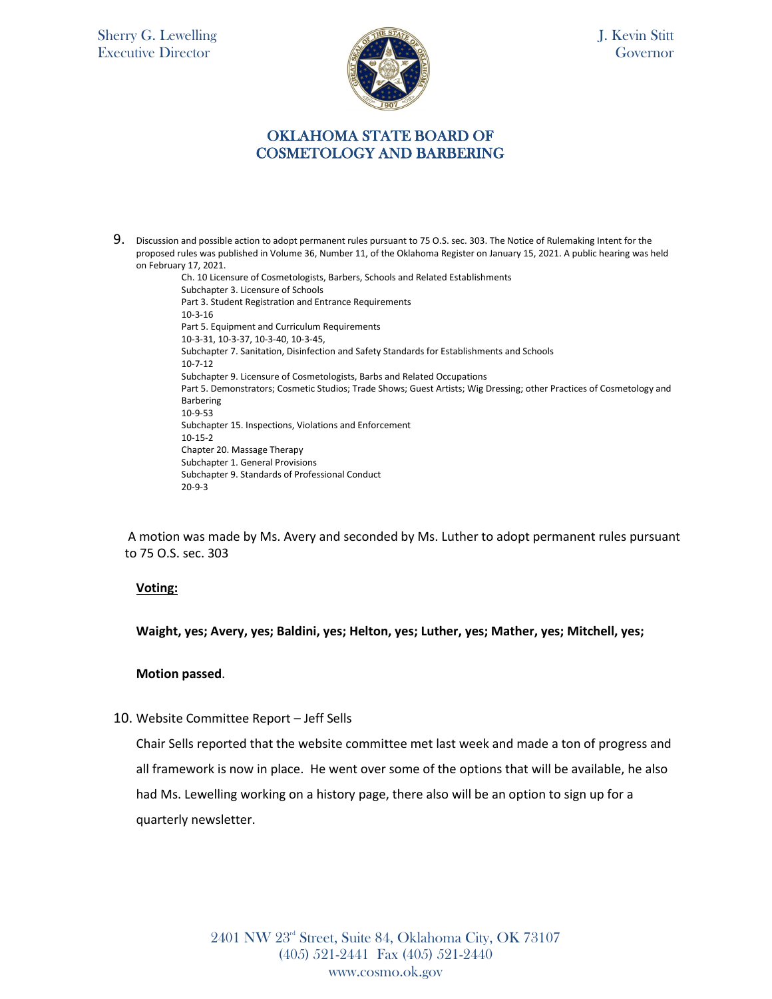Sherry G. Lewelling Executive Director



J. Kevin Stitt Governor

## OKLAHOMA STATE BOARD OF COSMETOLOGY AND BARBERING

9. Discussion and possible action to adopt permanent rules pursuant to 75 O.S. sec. 303. The Notice of Rulemaking Intent for the proposed rules was published in Volume 36, Number 11, of the Oklahoma Register on January 15, 2021. A public hearing was held on February 17, 2021.

> Ch. 10 Licensure of Cosmetologists, Barbers, Schools and Related Establishments Subchapter 3. Licensure of Schools Part 3. Student Registration and Entrance Requirements 10-3-16 Part 5. Equipment and Curriculum Requirements 10-3-31, 10-3-37, 10-3-40, 10-3-45, Subchapter 7. Sanitation, Disinfection and Safety Standards for Establishments and Schools 10-7-12 Subchapter 9. Licensure of Cosmetologists, Barbs and Related Occupations Part 5. Demonstrators; Cosmetic Studios; Trade Shows; Guest Artists; Wig Dressing; other Practices of Cosmetology and Barbering 10-9-53 Subchapter 15. Inspections, Violations and Enforcement 10-15-2 Chapter 20. Massage Therapy Subchapter 1. General Provisions Subchapter 9. Standards of Professional Conduct 20-9-3

A motion was made by Ms. Avery and seconded by Ms. Luther to adopt permanent rules pursuant to 75 O.S. sec. 303

#### **Voting:**

**Waight, yes; Avery, yes; Baldini, yes; Helton, yes; Luther, yes; Mather, yes; Mitchell, yes;** 

## **Motion passed**.

10. Website Committee Report – Jeff Sells

Chair Sells reported that the website committee met last week and made a ton of progress and all framework is now in place. He went over some of the options that will be available, he also had Ms. Lewelling working on a history page, there also will be an option to sign up for a quarterly newsletter.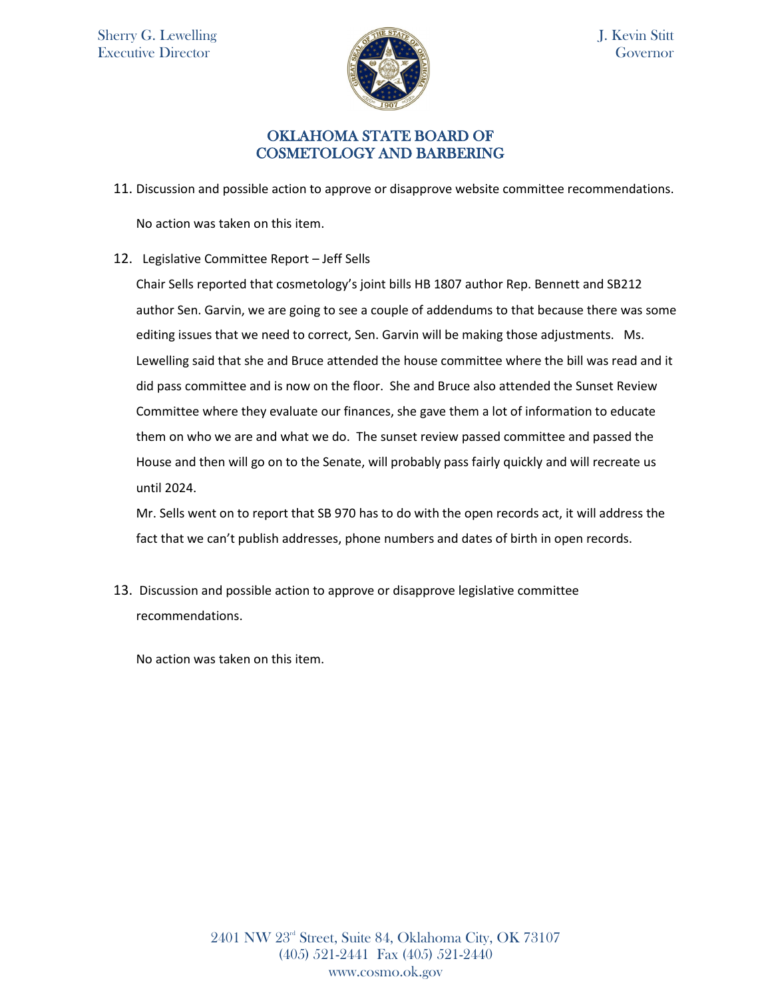

# OKLAHOMA STATE BOARD OF COSMETOLOGY AND BARBERING

11. Discussion and possible action to approve or disapprove website committee recommendations.

No action was taken on this item.

12. Legislative Committee Report – Jeff Sells

Chair Sells reported that cosmetology's joint bills HB 1807 author Rep. Bennett and SB212 author Sen. Garvin, we are going to see a couple of addendums to that because there was some editing issues that we need to correct, Sen. Garvin will be making those adjustments. Ms. Lewelling said that she and Bruce attended the house committee where the bill was read and it did pass committee and is now on the floor. She and Bruce also attended the Sunset Review Committee where they evaluate our finances, she gave them a lot of information to educate them on who we are and what we do. The sunset review passed committee and passed the House and then will go on to the Senate, will probably pass fairly quickly and will recreate us until 2024.

Mr. Sells went on to report that SB 970 has to do with the open records act, it will address the fact that we can't publish addresses, phone numbers and dates of birth in open records.

13. Discussion and possible action to approve or disapprove legislative committee recommendations.

No action was taken on this item.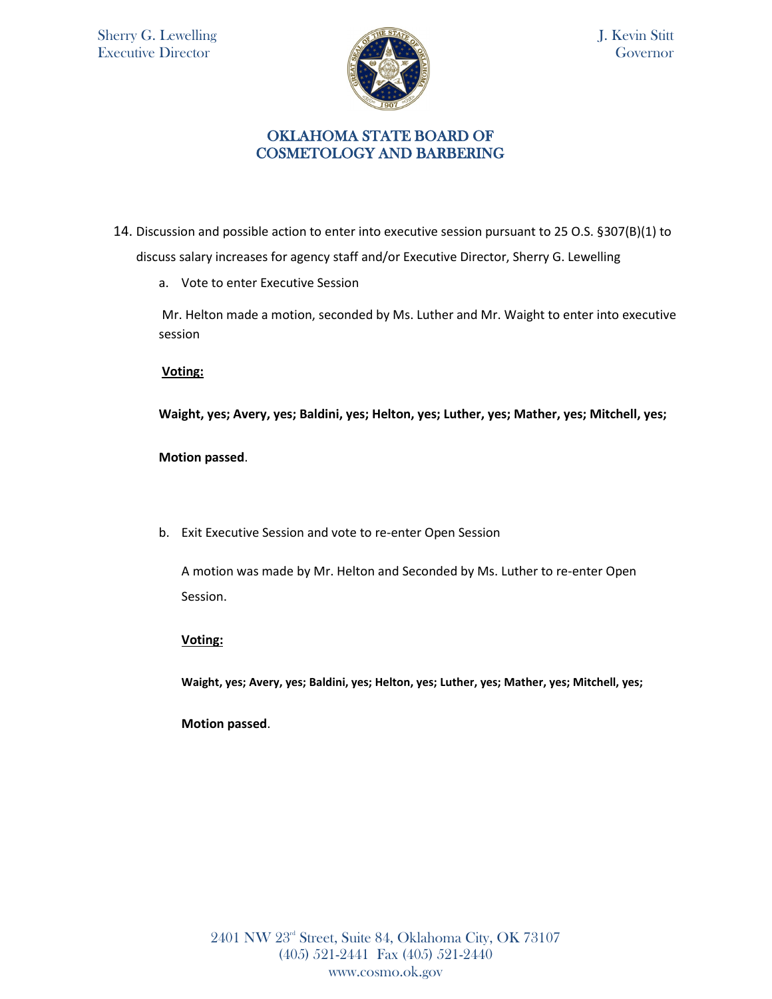

## OKLAHOMA STATE BOARD OF COSMETOLOGY AND BARBERING

- 14. Discussion and possible action to enter into executive session pursuant to 25 O.S. §307(B)(1) to discuss salary increases for agency staff and/or Executive Director, Sherry G. Lewelling
	- a. Vote to enter Executive Session

Mr. Helton made a motion, seconded by Ms. Luther and Mr. Waight to enter into executive session

**Voting:** 

**Waight, yes; Avery, yes; Baldini, yes; Helton, yes; Luther, yes; Mather, yes; Mitchell, yes;** 

**Motion passed**.

b. Exit Executive Session and vote to re-enter Open Session

A motion was made by Mr. Helton and Seconded by Ms. Luther to re-enter Open Session.

**Voting:** 

**Waight, yes; Avery, yes; Baldini, yes; Helton, yes; Luther, yes; Mather, yes; Mitchell, yes;** 

**Motion passed**.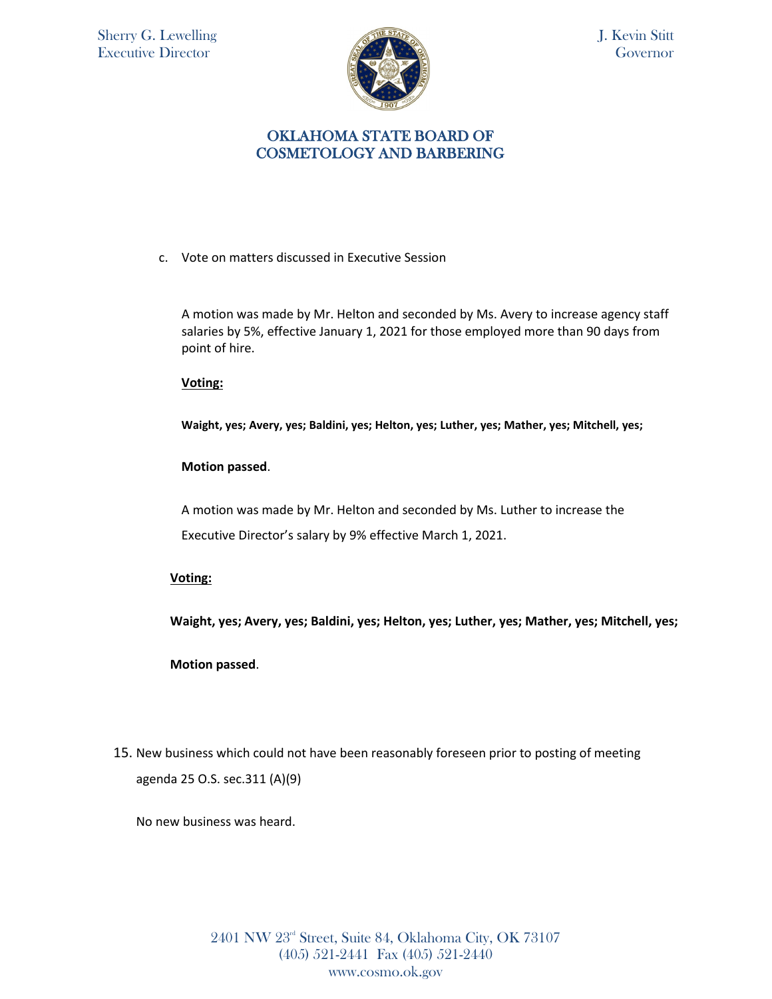

## OKLAHOMA STATE BOARD OF COSMETOLOGY AND BARBERING

c. Vote on matters discussed in Executive Session

A motion was made by Mr. Helton and seconded by Ms. Avery to increase agency staff salaries by 5%, effective January 1, 2021 for those employed more than 90 days from point of hire.

**Voting:** 

**Waight, yes; Avery, yes; Baldini, yes; Helton, yes; Luther, yes; Mather, yes; Mitchell, yes;** 

### **Motion passed**.

A motion was made by Mr. Helton and seconded by Ms. Luther to increase the Executive Director's salary by 9% effective March 1, 2021.

### **Voting:**

**Waight, yes; Avery, yes; Baldini, yes; Helton, yes; Luther, yes; Mather, yes; Mitchell, yes;** 

**Motion passed**.

15. New business which could not have been reasonably foreseen prior to posting of meeting agenda 25 O.S. sec.311 (A)(9)

No new business was heard.